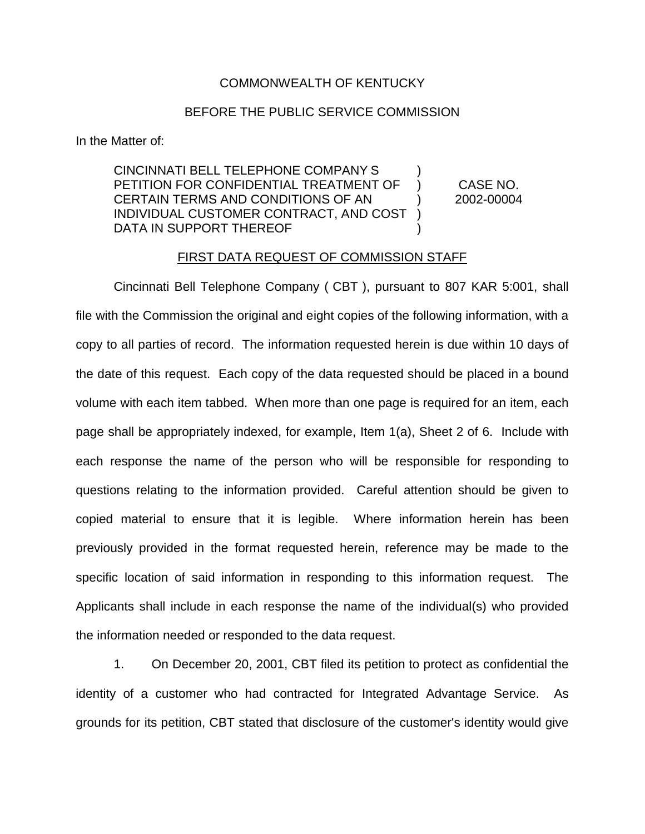## COMMONWEALTH OF KENTUCKY

## BEFORE THE PUBLIC SERVICE COMMISSION

In the Matter of:

CINCINNATI BELL TELEPHONE COMPANY S ) PETITION FOR CONFIDENTIAL TREATMENT OF ) CASE NO. CERTAIN TERMS AND CONDITIONS OF AN ) 2002-00004 INDIVIDUAL CUSTOMER CONTRACT, AND COST ) DATA IN SUPPORT THEREOF

## FIRST DATA REQUEST OF COMMISSION STAFF

Cincinnati Bell Telephone Company ( CBT ), pursuant to 807 KAR 5:001, shall file with the Commission the original and eight copies of the following information, with a copy to all parties of record. The information requested herein is due within 10 days of the date of this request. Each copy of the data requested should be placed in a bound volume with each item tabbed. When more than one page is required for an item, each page shall be appropriately indexed, for example, Item 1(a), Sheet 2 of 6. Include with each response the name of the person who will be responsible for responding to questions relating to the information provided. Careful attention should be given to copied material to ensure that it is legible. Where information herein has been previously provided in the format requested herein, reference may be made to the specific location of said information in responding to this information request. The Applicants shall include in each response the name of the individual(s) who provided the information needed or responded to the data request.

1. On December 20, 2001, CBT filed its petition to protect as confidential the identity of a customer who had contracted for Integrated Advantage Service. As grounds for its petition, CBT stated that disclosure of the customer's identity would give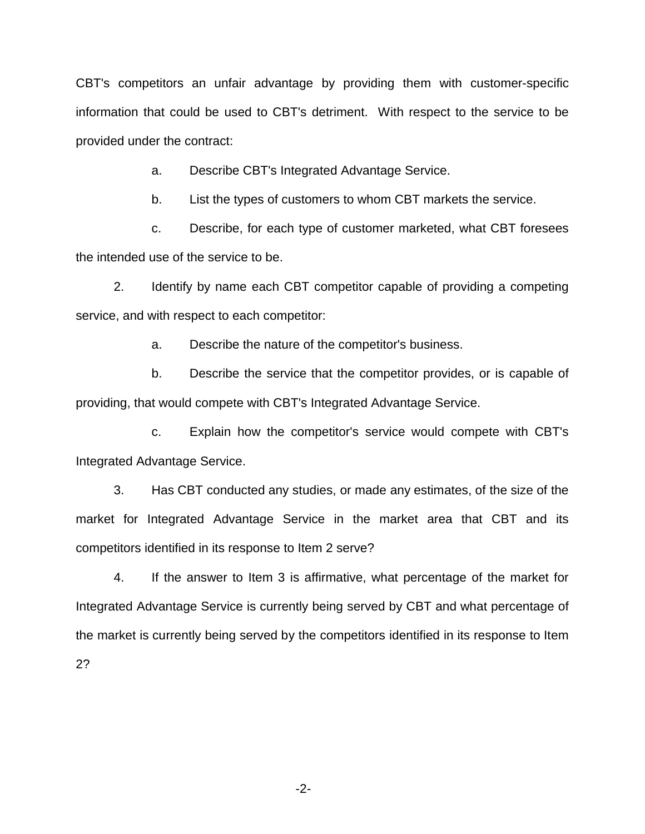CBT's competitors an unfair advantage by providing them with customer-specific information that could be used to CBT's detriment. With respect to the service to be provided under the contract:

a. Describe CBT's Integrated Advantage Service.

b. List the types of customers to whom CBT markets the service.

c. Describe, for each type of customer marketed, what CBT foresees the intended use of the service to be.

2. Identify by name each CBT competitor capable of providing a competing service, and with respect to each competitor:

a. Describe the nature of the competitor's business.

b. Describe the service that the competitor provides, or is capable of providing, that would compete with CBT's Integrated Advantage Service.

c. Explain how the competitor's service would compete with CBT's Integrated Advantage Service.

3. Has CBT conducted any studies, or made any estimates, of the size of the market for Integrated Advantage Service in the market area that CBT and its competitors identified in its response to Item 2 serve?

4. If the answer to Item 3 is affirmative, what percentage of the market for Integrated Advantage Service is currently being served by CBT and what percentage of the market is currently being served by the competitors identified in its response to Item 2?

-2-